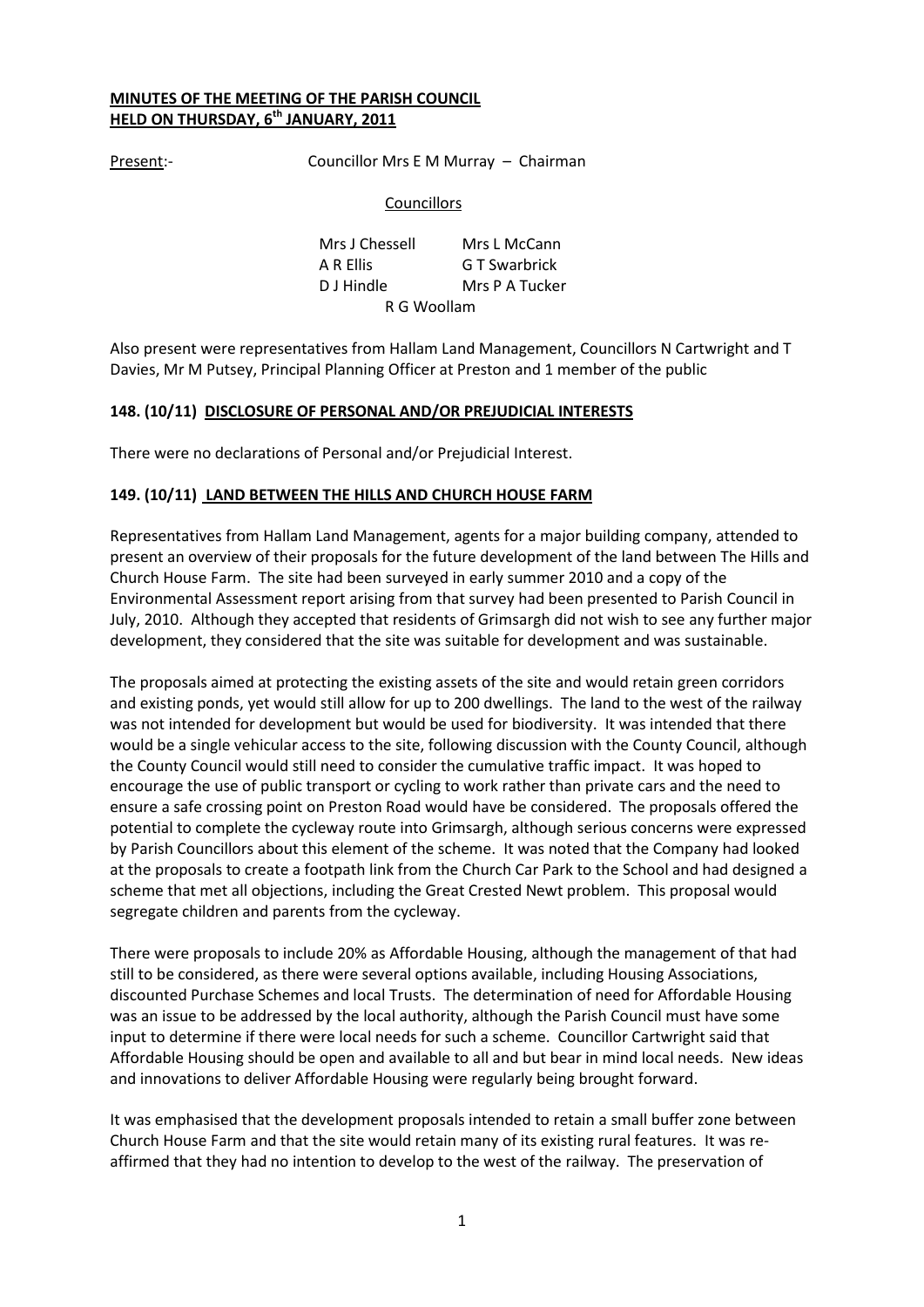## **MINUTES OF THE MEETING OF THE PARISH COUNCIL HELD ON THURSDAY, 6th JANUARY, 2011**

Present:- Councillor Mrs E M Murray – Chairman

## **Councillors**

Mrs J Chessell Mrs L McCann A R Ellis G T Swarbrick D J Hindle Mrs P A Tucker R G Woollam

Also present were representatives from Hallam Land Management, Councillors N Cartwright and T Davies, Mr M Putsey, Principal Planning Officer at Preston and 1 member of the public

# **148. (10/11) DISCLOSURE OF PERSONAL AND/OR PREJUDICIAL INTERESTS**

There were no declarations of Personal and/or Prejudicial Interest.

# **149. (10/11) LAND BETWEEN THE HILLS AND CHURCH HOUSE FARM**

Representatives from Hallam Land Management, agents for a major building company, attended to present an overview of their proposals for the future development of the land between The Hills and Church House Farm. The site had been surveyed in early summer 2010 and a copy of the Environmental Assessment report arising from that survey had been presented to Parish Council in July, 2010. Although they accepted that residents of Grimsargh did not wish to see any further major development, they considered that the site was suitable for development and was sustainable.

The proposals aimed at protecting the existing assets of the site and would retain green corridors and existing ponds, yet would still allow for up to 200 dwellings. The land to the west of the railway was not intended for development but would be used for biodiversity. It was intended that there would be a single vehicular access to the site, following discussion with the County Council, although the County Council would still need to consider the cumulative traffic impact. It was hoped to encourage the use of public transport or cycling to work rather than private cars and the need to ensure a safe crossing point on Preston Road would have be considered. The proposals offered the potential to complete the cycleway route into Grimsargh, although serious concerns were expressed by Parish Councillors about this element of the scheme. It was noted that the Company had looked at the proposals to create a footpath link from the Church Car Park to the School and had designed a scheme that met all objections, including the Great Crested Newt problem. This proposal would segregate children and parents from the cycleway.

There were proposals to include 20% as Affordable Housing, although the management of that had still to be considered, as there were several options available, including Housing Associations, discounted Purchase Schemes and local Trusts. The determination of need for Affordable Housing was an issue to be addressed by the local authority, although the Parish Council must have some input to determine if there were local needs for such a scheme. Councillor Cartwright said that Affordable Housing should be open and available to all and but bear in mind local needs. New ideas and innovations to deliver Affordable Housing were regularly being brought forward.

It was emphasised that the development proposals intended to retain a small buffer zone between Church House Farm and that the site would retain many of its existing rural features. It was reaffirmed that they had no intention to develop to the west of the railway. The preservation of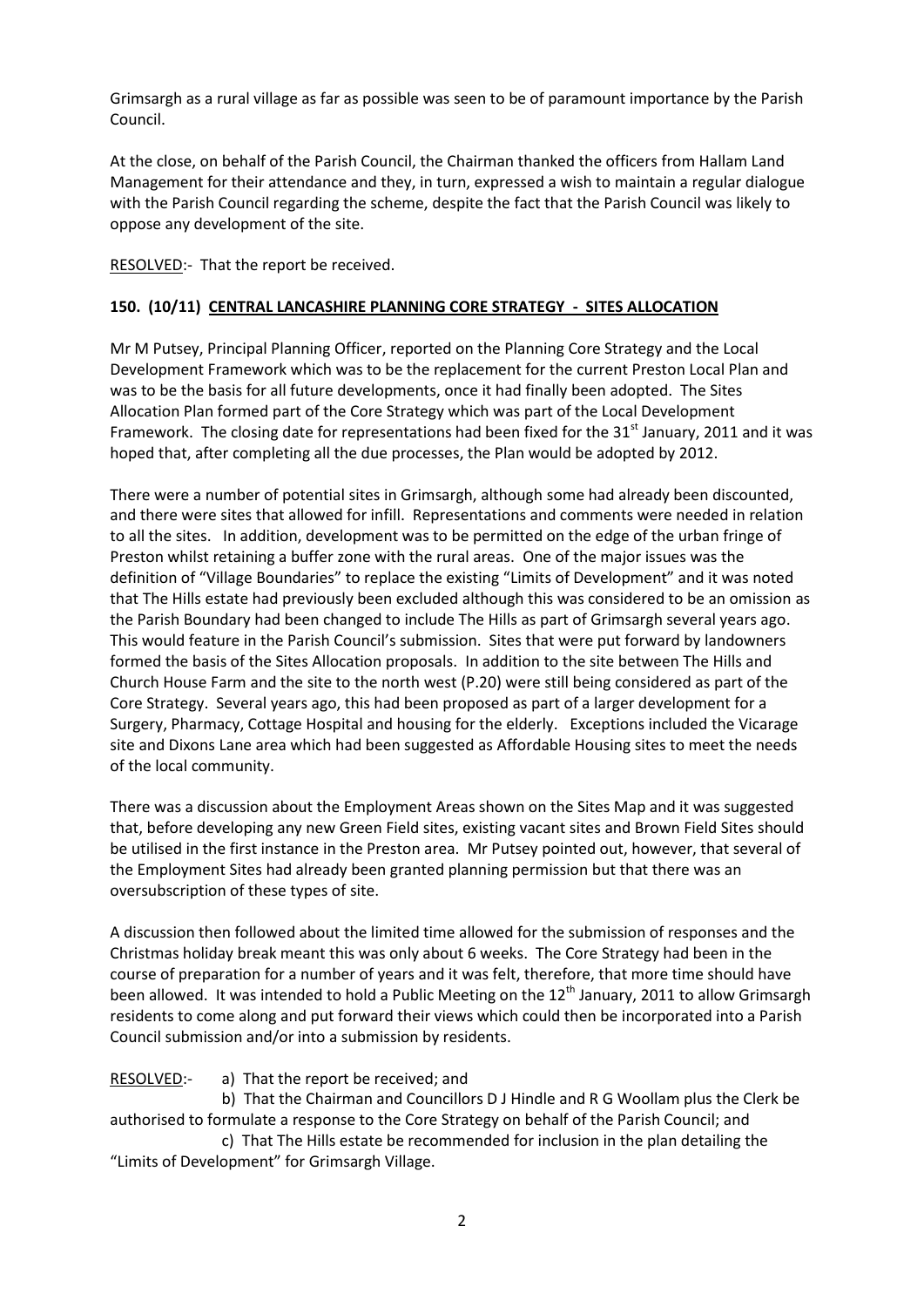Grimsargh as a rural village as far as possible was seen to be of paramount importance by the Parish Council.

At the close, on behalf of the Parish Council, the Chairman thanked the officers from Hallam Land Management for their attendance and they, in turn, expressed a wish to maintain a regular dialogue with the Parish Council regarding the scheme, despite the fact that the Parish Council was likely to oppose any development of the site.

RESOLVED:- That the report be received.

# **150. (10/11) CENTRAL LANCASHIRE PLANNING CORE STRATEGY - SITES ALLOCATION**

Mr M Putsey, Principal Planning Officer, reported on the Planning Core Strategy and the Local Development Framework which was to be the replacement for the current Preston Local Plan and was to be the basis for all future developments, once it had finally been adopted. The Sites Allocation Plan formed part of the Core Strategy which was part of the Local Development Framework. The closing date for representations had been fixed for the  $31<sup>st</sup>$  January, 2011 and it was hoped that, after completing all the due processes, the Plan would be adopted by 2012.

There were a number of potential sites in Grimsargh, although some had already been discounted, and there were sites that allowed for infill. Representations and comments were needed in relation to all the sites. In addition, development was to be permitted on the edge of the urban fringe of Preston whilst retaining a buffer zone with the rural areas. One of the major issues was the definition of "Village Boundaries" to replace the existing "Limits of Development" and it was noted that The Hills estate had previously been excluded although this was considered to be an omission as the Parish Boundary had been changed to include The Hills as part of Grimsargh several years ago. This would feature in the Parish Council's submission. Sites that were put forward by landowners formed the basis of the Sites Allocation proposals. In addition to the site between The Hills and Church House Farm and the site to the north west (P.20) were still being considered as part of the Core Strategy. Several years ago, this had been proposed as part of a larger development for a Surgery, Pharmacy, Cottage Hospital and housing for the elderly. Exceptions included the Vicarage site and Dixons Lane area which had been suggested as Affordable Housing sites to meet the needs of the local community.

There was a discussion about the Employment Areas shown on the Sites Map and it was suggested that, before developing any new Green Field sites, existing vacant sites and Brown Field Sites should be utilised in the first instance in the Preston area. Mr Putsey pointed out, however, that several of the Employment Sites had already been granted planning permission but that there was an oversubscription of these types of site.

A discussion then followed about the limited time allowed for the submission of responses and the Christmas holiday break meant this was only about 6 weeks. The Core Strategy had been in the course of preparation for a number of years and it was felt, therefore, that more time should have been allowed. It was intended to hold a Public Meeting on the  $12<sup>th</sup>$  January, 2011 to allow Grimsargh residents to come along and put forward their views which could then be incorporated into a Parish Council submission and/or into a submission by residents.

# RESOLVED:- a) That the report be received; and

b) That the Chairman and Councillors D J Hindle and R G Woollam plus the Clerk be authorised to formulate a response to the Core Strategy on behalf of the Parish Council; and

c) That The Hills estate be recommended for inclusion in the plan detailing the "Limits of Development" for Grimsargh Village.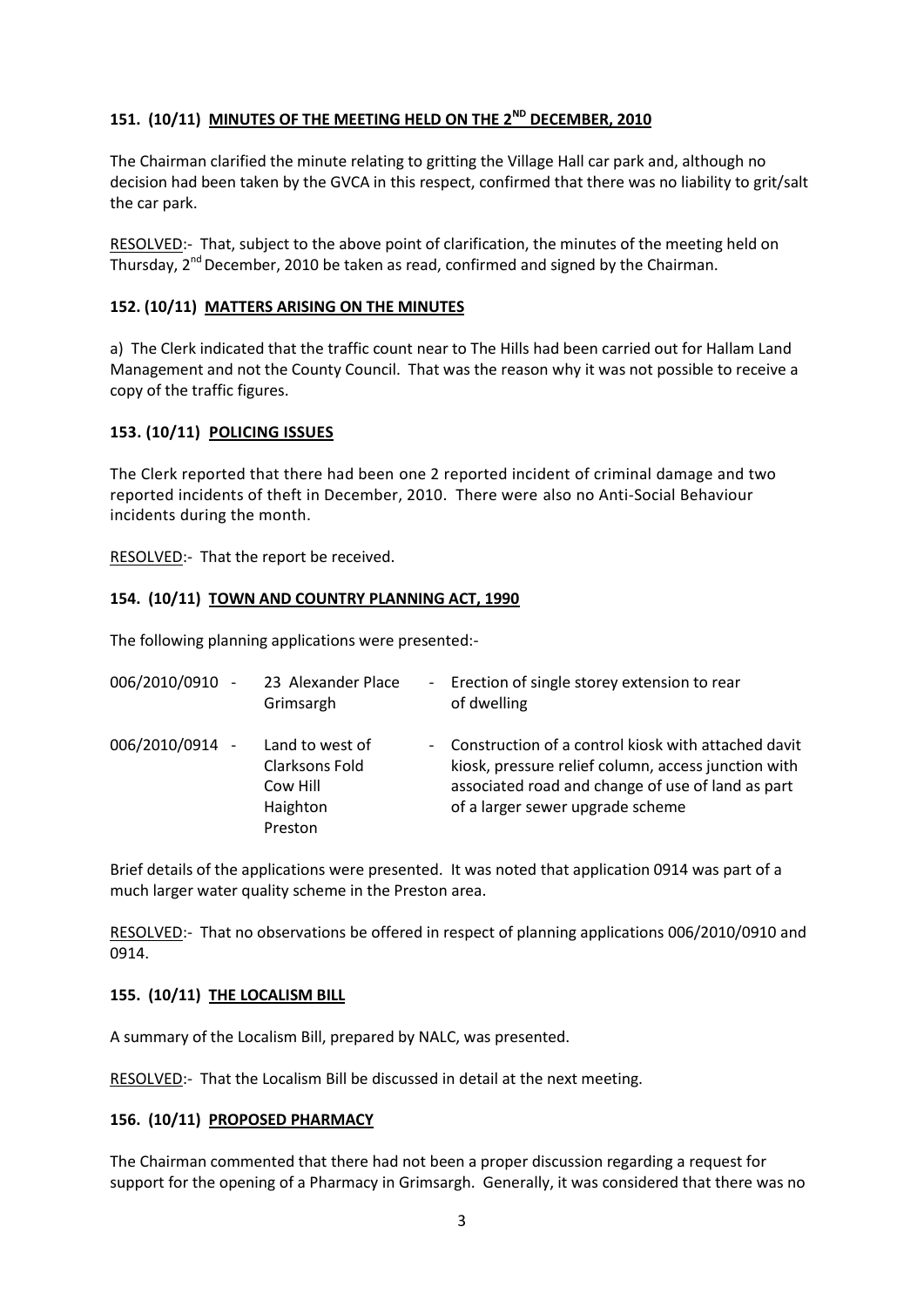# **151. (10/11) MINUTES OF THE MEETING HELD ON THE 2 ND DECEMBER, 2010**

The Chairman clarified the minute relating to gritting the Village Hall car park and, although no decision had been taken by the GVCA in this respect, confirmed that there was no liability to grit/salt the car park.

RESOLVED:- That, subject to the above point of clarification, the minutes of the meeting held on Thursday, 2<sup>nd</sup> December, 2010 be taken as read, confirmed and signed by the Chairman.

## **152. (10/11) MATTERS ARISING ON THE MINUTES**

a) The Clerk indicated that the traffic count near to The Hills had been carried out for Hallam Land Management and not the County Council. That was the reason why it was not possible to receive a copy of the traffic figures.

# **153. (10/11) POLICING ISSUES**

The Clerk reported that there had been one 2 reported incident of criminal damage and two reported incidents of theft in December, 2010. There were also no Anti-Social Behaviour incidents during the month.

RESOLVED:- That the report be received.

# **154. (10/11) TOWN AND COUNTRY PLANNING ACT, 1990**

The following planning applications were presented:-

| 006/2010/0910 - | 23 Alexander Place<br>Grimsargh                                      | $\sim$ | Erection of single storey extension to rear<br>of dwelling                                                                                                                                          |
|-----------------|----------------------------------------------------------------------|--------|-----------------------------------------------------------------------------------------------------------------------------------------------------------------------------------------------------|
| 006/2010/0914 - | Land to west of<br>Clarksons Fold<br>Cow Hill<br>Haighton<br>Preston | $\sim$ | Construction of a control kiosk with attached davit<br>kiosk, pressure relief column, access junction with<br>associated road and change of use of land as part<br>of a larger sewer upgrade scheme |

Brief details of the applications were presented. It was noted that application 0914 was part of a much larger water quality scheme in the Preston area.

RESOLVED:- That no observations be offered in respect of planning applications 006/2010/0910 and 0914.

## **155. (10/11) THE LOCALISM BILL**

A summary of the Localism Bill, prepared by NALC, was presented.

RESOLVED:- That the Localism Bill be discussed in detail at the next meeting.

## **156. (10/11) PROPOSED PHARMACY**

The Chairman commented that there had not been a proper discussion regarding a request for support for the opening of a Pharmacy in Grimsargh. Generally, it was considered that there was no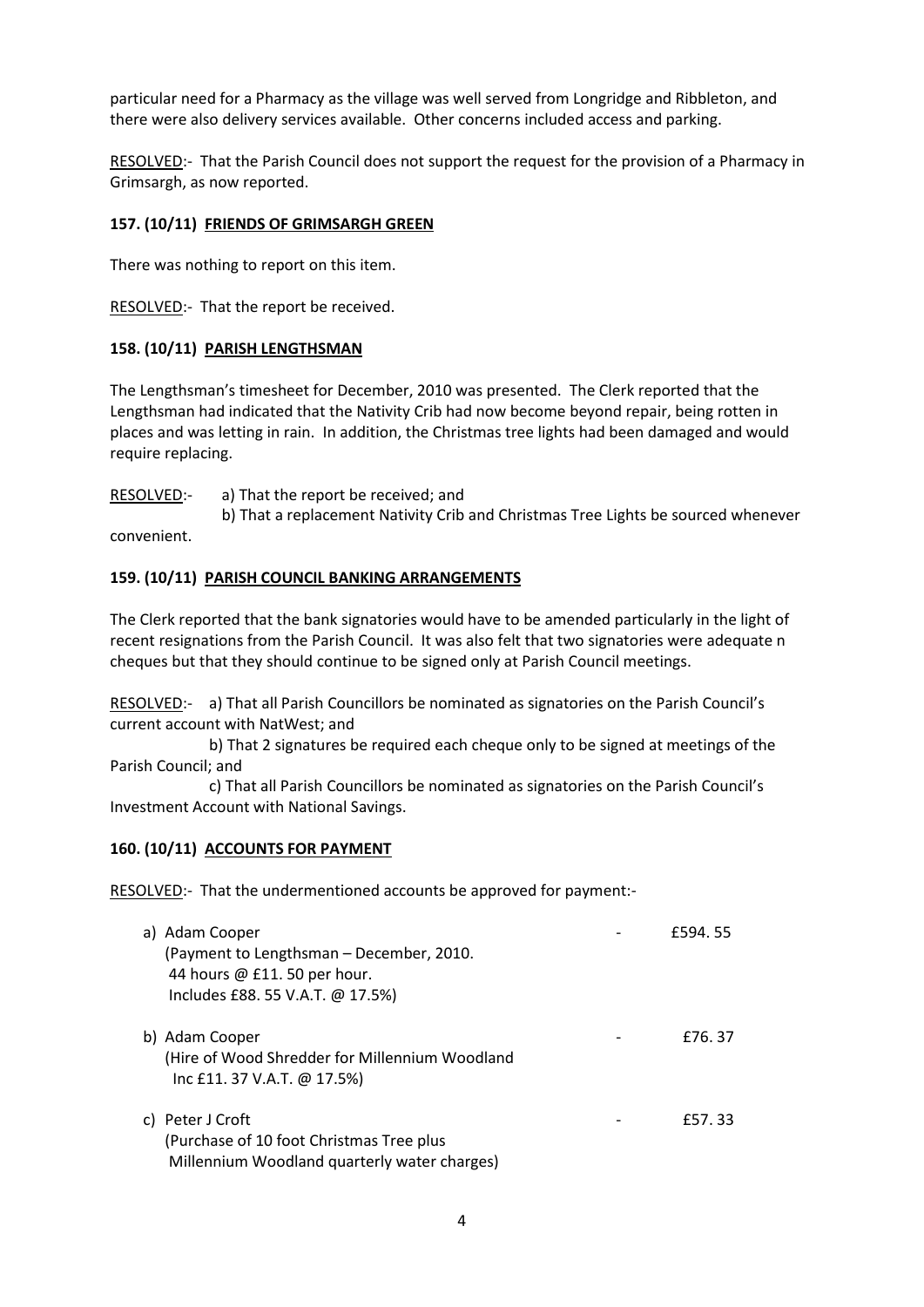particular need for a Pharmacy as the village was well served from Longridge and Ribbleton, and there were also delivery services available. Other concerns included access and parking.

RESOLVED:- That the Parish Council does not support the request for the provision of a Pharmacy in Grimsargh, as now reported.

# **157. (10/11) FRIENDS OF GRIMSARGH GREEN**

There was nothing to report on this item.

RESOLVED:- That the report be received.

# **158. (10/11) PARISH LENGTHSMAN**

The Lengthsman's timesheet for December, 2010 was presented. The Clerk reported that the Lengthsman had indicated that the Nativity Crib had now become beyond repair, being rotten in places and was letting in rain. In addition, the Christmas tree lights had been damaged and would require replacing.

RESOLVED:- a) That the report be received; and

b) That a replacement Nativity Crib and Christmas Tree Lights be sourced whenever convenient.

# **159. (10/11) PARISH COUNCIL BANKING ARRANGEMENTS**

The Clerk reported that the bank signatories would have to be amended particularly in the light of recent resignations from the Parish Council. It was also felt that two signatories were adequate n cheques but that they should continue to be signed only at Parish Council meetings.

RESOLVED:- a) That all Parish Councillors be nominated as signatories on the Parish Council's current account with NatWest; and

b) That 2 signatures be required each cheque only to be signed at meetings of the Parish Council; and

c) That all Parish Councillors be nominated as signatories on the Parish Council's Investment Account with National Savings.

# **160. (10/11) ACCOUNTS FOR PAYMENT**

RESOLVED:- That the undermentioned accounts be approved for payment:-

| a) Adam Cooper<br>(Payment to Lengthsman – December, 2010.<br>44 hours @ £11. 50 per hour.<br>Includes £88. 55 V.A.T. @ 17.5%) | £594.55 |
|--------------------------------------------------------------------------------------------------------------------------------|---------|
| b) Adam Cooper<br>(Hire of Wood Shredder for Millennium Woodland<br>Inc £11. 37 V.A.T. @ 17.5%)                                | £76.37  |
| c) Peter J Croft<br>(Purchase of 10 foot Christmas Tree plus<br>Millennium Woodland quarterly water charges)                   | £57.33  |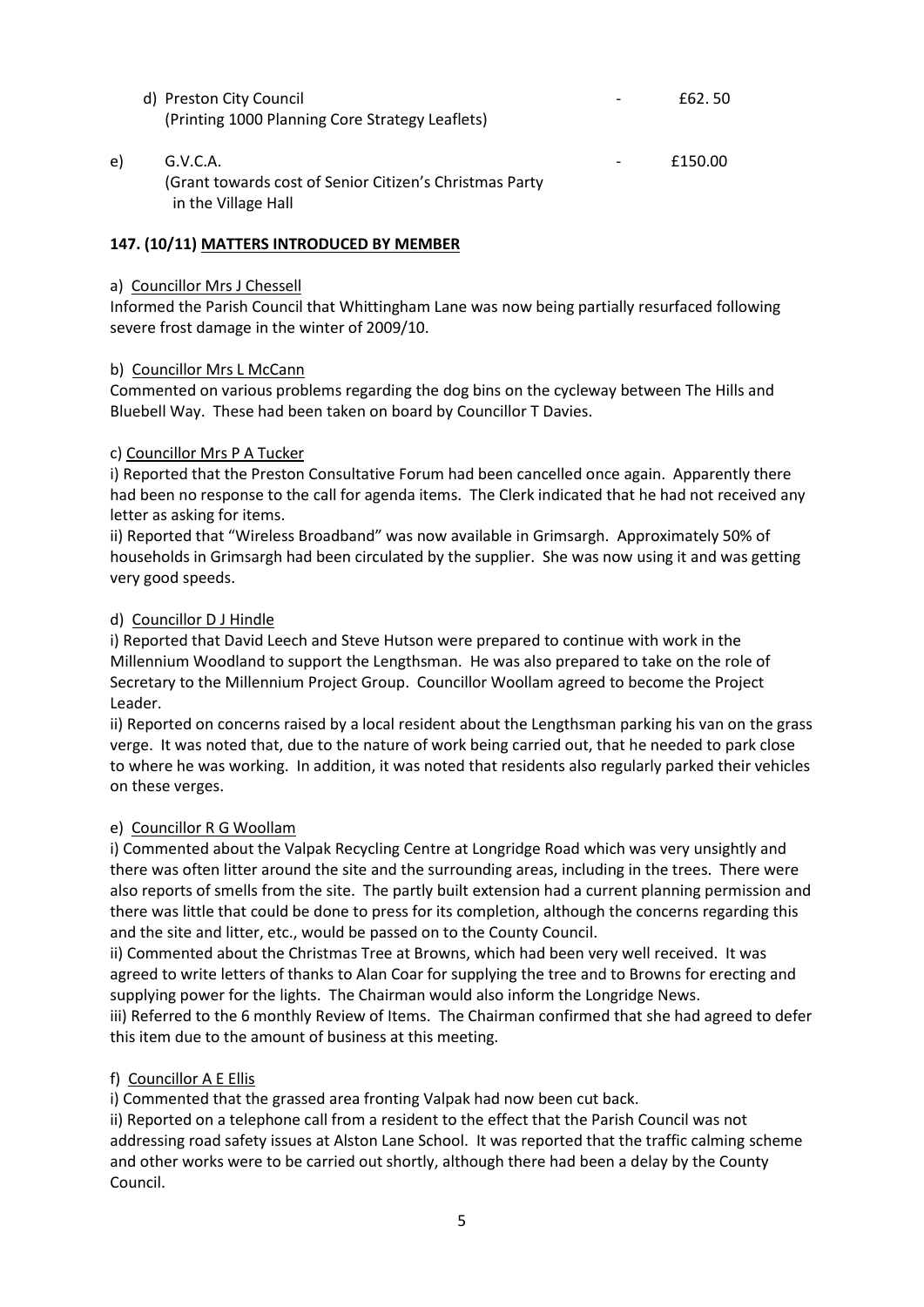|    | d) Preston City Council<br>(Printing 1000 Planning Core Strategy Leaflets)                 | £62.50  |
|----|--------------------------------------------------------------------------------------------|---------|
| e) | G.V.C.A.<br>(Grant towards cost of Senior Citizen's Christmas Party<br>in the Village Hall | £150.00 |

## **147. (10/11) MATTERS INTRODUCED BY MEMBER**

#### a) Councillor Mrs J Chessell

Informed the Parish Council that Whittingham Lane was now being partially resurfaced following severe frost damage in the winter of 2009/10.

## b) Councillor Mrs L McCann

Commented on various problems regarding the dog bins on the cycleway between The Hills and Bluebell Way. These had been taken on board by Councillor T Davies.

## c) Councillor Mrs P A Tucker

i) Reported that the Preston Consultative Forum had been cancelled once again. Apparently there had been no response to the call for agenda items. The Clerk indicated that he had not received any letter as asking for items.

ii) Reported that "Wireless Broadband" was now available in Grimsargh. Approximately 50% of households in Grimsargh had been circulated by the supplier. She was now using it and was getting very good speeds.

#### d) Councillor D J Hindle

i) Reported that David Leech and Steve Hutson were prepared to continue with work in the Millennium Woodland to support the Lengthsman. He was also prepared to take on the role of Secretary to the Millennium Project Group. Councillor Woollam agreed to become the Project Leader.

ii) Reported on concerns raised by a local resident about the Lengthsman parking his van on the grass verge. It was noted that, due to the nature of work being carried out, that he needed to park close to where he was working. In addition, it was noted that residents also regularly parked their vehicles on these verges.

## e) Councillor R G Woollam

i) Commented about the Valpak Recycling Centre at Longridge Road which was very unsightly and there was often litter around the site and the surrounding areas, including in the trees. There were also reports of smells from the site. The partly built extension had a current planning permission and there was little that could be done to press for its completion, although the concerns regarding this and the site and litter, etc., would be passed on to the County Council.

ii) Commented about the Christmas Tree at Browns, which had been very well received. It was agreed to write letters of thanks to Alan Coar for supplying the tree and to Browns for erecting and supplying power for the lights. The Chairman would also inform the Longridge News. iii) Referred to the 6 monthly Review of Items. The Chairman confirmed that she had agreed to defer this item due to the amount of business at this meeting.

## f) Councillor A E Ellis

i) Commented that the grassed area fronting Valpak had now been cut back.

ii) Reported on a telephone call from a resident to the effect that the Parish Council was not addressing road safety issues at Alston Lane School. It was reported that the traffic calming scheme and other works were to be carried out shortly, although there had been a delay by the County Council.